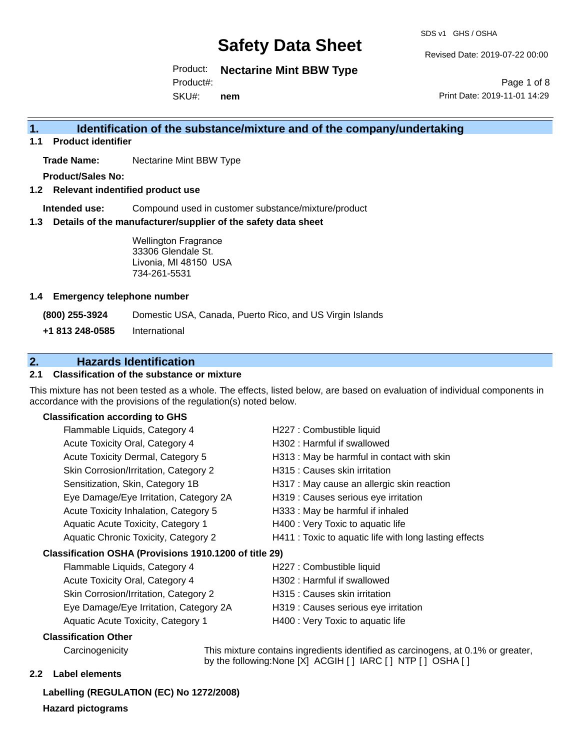SDS v1 GHS / OSHA

Revised Date: 2019-07-22 00:00

Product: **Nectarine Mint BBW Type**

Product#:

SKU#: **nem**

Page 1 of 8 Print Date: 2019-11-01 14:29

## **1. Identification of the substance/mixture and of the company/undertaking**

**1.1 Product identifier**

**Trade Name:** Nectarine Mint BBW Type

**Product/Sales No:**

**1.2 Relevant indentified product use**

**Intended use:** Compound used in customer substance/mixture/product

**1.3 Details of the manufacturer/supplier of the safety data sheet**

Wellington Fragrance 33306 Glendale St. Livonia, MI 48150 USA 734-261-5531

#### **1.4 Emergency telephone number**

**(800) 255-3924** Domestic USA, Canada, Puerto Rico, and US Virgin Islands

**+1 813 248-0585** International

## **2. Hazards Identification**

#### **2.1 Classification of the substance or mixture**

This mixture has not been tested as a whole. The effects, listed below, are based on evaluation of individual components in accordance with the provisions of the regulation(s) noted below.

#### **Classification according to GHS**

| Flammable Liquids, Category 4                          | H227 : Combustible liquid                              |
|--------------------------------------------------------|--------------------------------------------------------|
| Acute Toxicity Oral, Category 4                        | H302 : Harmful if swallowed                            |
| Acute Toxicity Dermal, Category 5                      | H313 : May be harmful in contact with skin             |
| Skin Corrosion/Irritation, Category 2                  | H315 : Causes skin irritation                          |
| Sensitization, Skin, Category 1B                       | H317 : May cause an allergic skin reaction             |
| Eye Damage/Eye Irritation, Category 2A                 | H319 : Causes serious eye irritation                   |
| Acute Toxicity Inhalation, Category 5                  | H333: May be harmful if inhaled                        |
| Aquatic Acute Toxicity, Category 1                     | H400 : Very Toxic to aquatic life                      |
| Aquatic Chronic Toxicity, Category 2                   | H411 : Toxic to aquatic life with long lasting effects |
| Classification OSHA (Provisions 1910.1200 of title 29) |                                                        |
| Flammable Liquids, Category 4                          | H227 : Combustible liquid                              |
| Acute Toxicity Oral, Category 4                        | H302 : Harmful if swallowed                            |
| Skin Corrosion/Irritation, Category 2                  | H315 : Causes skin irritation                          |

Eye Damage/Eye Irritation, Category 2A H319 : Causes serious eye irritation Aquatic Acute Toxicity, Category 1 **H400** : Very Toxic to aquatic life

- 
- 

#### **Classification Other**

Carcinogenicity This mixture contains ingredients identified as carcinogens, at 0.1% or greater, by the following:None [X] ACGIH [ ] IARC [ ] NTP [ ] OSHA [ ]

#### **2.2 Label elements**

**Labelling (REGULATION (EC) No 1272/2008) Hazard pictograms**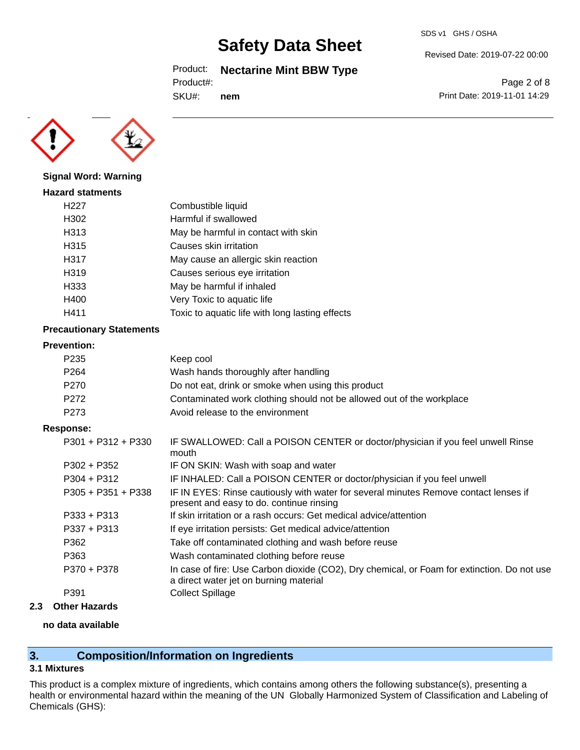Product: **Nectarine Mint BBW Type**

Product#:

SKU#: **nem** Revised Date: 2019-07-22 00:00

Page 2 of 8 Print Date: 2019-11-01 14:29



**Signal Word: Warning**

| <b>Hazard statments</b> |                                                 |
|-------------------------|-------------------------------------------------|
| H227                    | Combustible liquid                              |
| H302                    | Harmful if swallowed                            |
| H313                    | May be harmful in contact with skin             |
| H315                    | Causes skin irritation                          |
| H317                    | May cause an allergic skin reaction             |
| H319                    | Causes serious eye irritation                   |
| H333                    | May be harmful if inhaled                       |
| H400                    | Very Toxic to aquatic life                      |
| H411                    | Toxic to aquatic life with long lasting effects |
|                         |                                                 |

### **Precautionary Statements**

#### **Prevention:**

| P235 | Keep cool                                                             |
|------|-----------------------------------------------------------------------|
| P264 | Wash hands thoroughly after handling                                  |
| P270 | Do not eat, drink or smoke when using this product                    |
| P272 | Contaminated work clothing should not be allowed out of the workplace |
| P273 | Avoid release to the environment                                      |

#### **Response:**

| PV.IVV.              |                                                                                                                                       |
|----------------------|---------------------------------------------------------------------------------------------------------------------------------------|
| $P301 + P312 + P330$ | IF SWALLOWED: Call a POISON CENTER or doctor/physician if you feel unwell Rinse<br>mouth                                              |
| P302 + P352          | IF ON SKIN: Wash with soap and water                                                                                                  |
| $P304 + P312$        | IF INHALED: Call a POISON CENTER or doctor/physician if you feel unwell                                                               |
| $P305 + P351 + P338$ | IF IN EYES: Rinse cautiously with water for several minutes Remove contact lenses if<br>present and easy to do. continue rinsing      |
| $P333 + P313$        | If skin irritation or a rash occurs: Get medical advice/attention                                                                     |
| $P337 + P313$        | If eye irritation persists: Get medical advice/attention                                                                              |
| P362                 | Take off contaminated clothing and wash before reuse                                                                                  |
| P363                 | Wash contaminated clothing before reuse                                                                                               |
| P370 + P378          | In case of fire: Use Carbon dioxide (CO2), Dry chemical, or Foam for extinction. Do not use<br>a direct water jet on burning material |
| P391                 | <b>Collect Spillage</b>                                                                                                               |

#### **2.3 Other Hazards**

#### **no data available**

## **3. Composition/Information on Ingredients**

## **3.1 Mixtures**

This product is a complex mixture of ingredients, which contains among others the following substance(s), presenting a health or environmental hazard within the meaning of the UN Globally Harmonized System of Classification and Labeling of Chemicals (GHS):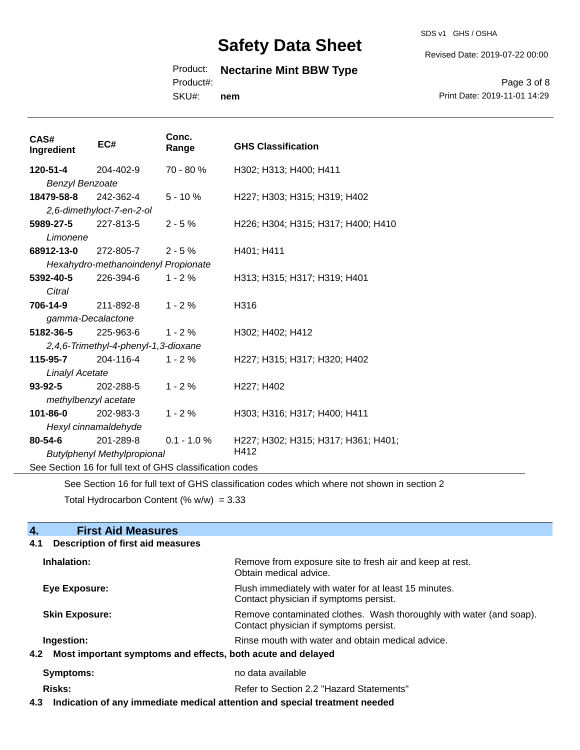SDS v1 GHS / OSHA

Revised Date: 2019-07-22 00:00

## Product: **Nectarine Mint BBW Type**

Product#:

SKU#: **nem**

Page 3 of 8 Print Date: 2019-11-01 14:29

| CAS#<br>Ingredient     | EC#                                                      | Conc.<br>Range | <b>GHS Classification</b>           |  |  |
|------------------------|----------------------------------------------------------|----------------|-------------------------------------|--|--|
| 120-51-4               | 204-402-9                                                | 70 - 80 %      | H302; H313; H400; H411              |  |  |
| <b>Benzyl Benzoate</b> |                                                          |                |                                     |  |  |
| 18479-58-8             | 242-362-4                                                | $5 - 10%$      | H227; H303; H315; H319; H402        |  |  |
|                        | 2,6-dimethyloct-7-en-2-ol                                |                |                                     |  |  |
| 5989-27-5              | 227-813-5                                                | $2 - 5%$       | H226; H304; H315; H317; H400; H410  |  |  |
| Limonene               |                                                          |                |                                     |  |  |
| 68912-13-0             | 272-805-7                                                | $2 - 5%$       | H401; H411                          |  |  |
|                        | Hexahydro-methanoindenyl Propionate                      |                |                                     |  |  |
| 5392-40-5              | 226-394-6                                                | $1 - 2%$       | H313; H315; H317; H319; H401        |  |  |
| Citral                 |                                                          |                |                                     |  |  |
| 706-14-9               | 211-892-8                                                | $1 - 2%$       | H316                                |  |  |
| gamma-Decalactone      |                                                          |                |                                     |  |  |
| 5182-36-5              | 225-963-6                                                | $1 - 2%$       | H302; H402; H412                    |  |  |
|                        | 2,4,6-Trimethyl-4-phenyl-1,3-dioxane                     |                |                                     |  |  |
| 115-95-7               | 204-116-4                                                | $1 - 2%$       | H227; H315; H317; H320; H402        |  |  |
| <b>Linalyl Acetate</b> |                                                          |                |                                     |  |  |
| $93 - 92 - 5$          | 202-288-5                                                | $1 - 2%$       | H227; H402                          |  |  |
| methylbenzyl acetate   |                                                          |                |                                     |  |  |
| 101-86-0               | 202-983-3                                                | $1 - 2%$       | H303; H316; H317; H400; H411        |  |  |
|                        | Hexyl cinnamaldehyde                                     |                |                                     |  |  |
| 80-54-6                | 201-289-8                                                | $0.1 - 1.0 %$  | H227; H302; H315; H317; H361; H401; |  |  |
|                        | <b>Butylphenyl Methylpropional</b>                       |                | H412                                |  |  |
|                        | See Section 16 for full text of GHS classification codes |                |                                     |  |  |

See Section 16 for full text of GHS classification codes which where not shown in section 2

Total Hydrocarbon Content (%  $w/w$ ) = 3.33

| <b>First Aid Measures</b><br>4.                                 |                                                                                                               |
|-----------------------------------------------------------------|---------------------------------------------------------------------------------------------------------------|
| <b>Description of first aid measures</b><br>4.1                 |                                                                                                               |
| Inhalation:                                                     | Remove from exposure site to fresh air and keep at rest.<br>Obtain medical advice.                            |
| Eye Exposure:                                                   | Flush immediately with water for at least 15 minutes.<br>Contact physician if symptoms persist.               |
| <b>Skin Exposure:</b>                                           | Remove contaminated clothes. Wash thoroughly with water (and soap).<br>Contact physician if symptoms persist. |
| Ingestion:                                                      | Rinse mouth with water and obtain medical advice.                                                             |
| 4.2 Most important symptoms and effects, both acute and delayed |                                                                                                               |
| Symptoms:                                                       | no data available                                                                                             |
| Risks:                                                          | Refer to Section 2.2 "Hazard Statements"                                                                      |

**4.3 Indication of any immediate medical attention and special treatment needed**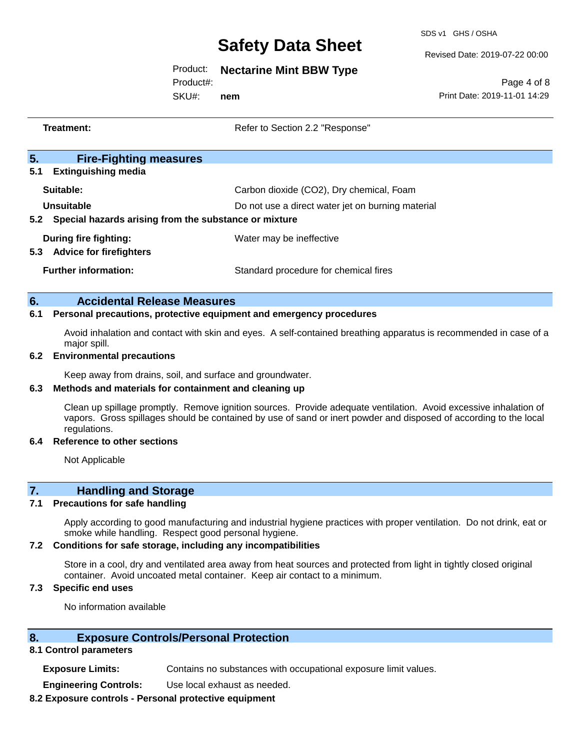SDS v1 GHS / OSHA

Revised Date: 2019-07-22 00:00

### Product: **Nectarine Mint BBW Type**

Product#:

SKU#: **nem**

Page 4 of 8 Print Date: 2019-11-01 14:29

|           | <b>Treatment:</b>                                                                                                                                                                                                                                     | Refer to Section 2.2 "Response"                                                                                   |  |
|-----------|-------------------------------------------------------------------------------------------------------------------------------------------------------------------------------------------------------------------------------------------------------|-------------------------------------------------------------------------------------------------------------------|--|
| 5.<br>5.1 | <b>Fire-Fighting measures</b><br><b>Extinguishing media</b>                                                                                                                                                                                           |                                                                                                                   |  |
|           | Suitable:                                                                                                                                                                                                                                             | Carbon dioxide (CO2), Dry chemical, Foam                                                                          |  |
| 5.2       | <b>Unsuitable</b><br>Special hazards arising from the substance or mixture                                                                                                                                                                            | Do not use a direct water jet on burning material                                                                 |  |
| 5.3       | <b>During fire fighting:</b><br><b>Advice for firefighters</b>                                                                                                                                                                                        | Water may be ineffective                                                                                          |  |
|           | <b>Further information:</b>                                                                                                                                                                                                                           | Standard procedure for chemical fires                                                                             |  |
| 6.        | <b>Accidental Release Measures</b>                                                                                                                                                                                                                    |                                                                                                                   |  |
| 6.1       |                                                                                                                                                                                                                                                       | Personal precautions, protective equipment and emergency procedures                                               |  |
| 6.2       | major spill.<br><b>Environmental precautions</b>                                                                                                                                                                                                      | Avoid inhalation and contact with skin and eyes. A self-contained breathing apparatus is recommended in case of a |  |
| 6.3       | Keep away from drains, soil, and surface and groundwater.<br>Methods and materials for containment and cleaning up                                                                                                                                    |                                                                                                                   |  |
|           | Clean up spillage promptly. Remove ignition sources. Provide adequate ventilation. Avoid excessive inhalation of<br>vapors. Gross spillages should be contained by use of sand or inert powder and disposed of according to the local<br>regulations. |                                                                                                                   |  |
| 6.4       | <b>Reference to other sections</b>                                                                                                                                                                                                                    |                                                                                                                   |  |
|           | Not Applicable                                                                                                                                                                                                                                        |                                                                                                                   |  |
| 7.        | <b>Handling and Storage</b>                                                                                                                                                                                                                           |                                                                                                                   |  |

#### **7.1 Precautions for safe handling**

Apply according to good manufacturing and industrial hygiene practices with proper ventilation. Do not drink, eat or smoke while handling. Respect good personal hygiene.

#### **7.2 Conditions for safe storage, including any incompatibilities**

Store in a cool, dry and ventilated area away from heat sources and protected from light in tightly closed original container. Avoid uncoated metal container. Keep air contact to a minimum.

### **7.3 Specific end uses**

No information available

### **8. Exposure Controls/Personal Protection**

#### **8.1 Control parameters**

**Exposure Limits:** Contains no substances with occupational exposure limit values.

**Engineering Controls:** Use local exhaust as needed.

#### **8.2 Exposure controls - Personal protective equipment**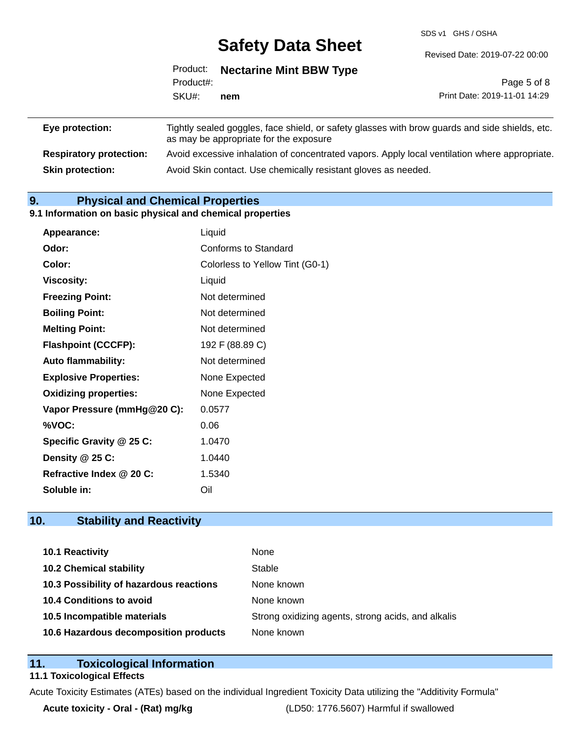SDS v1 GHS / OSHA

Revised Date: 2019-07-22 00:00

|                 | Product:  | <b>Nectarine Mint BBW Type</b>                                                                                                           |                              |
|-----------------|-----------|------------------------------------------------------------------------------------------------------------------------------------------|------------------------------|
|                 | Product#: |                                                                                                                                          | Page 5 of 8                  |
|                 | SKU#:     | nem                                                                                                                                      | Print Date: 2019-11-01 14:29 |
| Eye protection: |           | Tightly sealed goggles, face shield, or safety glasses with brow guards and side shields, etc.<br>as may be appropriate for the exposure |                              |

**Respiratory protection:** Avoid excessive inhalation of concentrated vapors. Apply local ventilation where appropriate. **Skin protection:** Avoid Skin contact. Use chemically resistant gloves as needed.

## **9. Physical and Chemical Properties**

#### **9.1 Information on basic physical and chemical properties**

| <b>Appearance:</b>           | Liquid                          |
|------------------------------|---------------------------------|
| Odor:                        | Conforms to Standard            |
| Color:                       | Colorless to Yellow Tint (G0-1) |
| <b>Viscosity:</b>            | Liquid                          |
| <b>Freezing Point:</b>       | Not determined                  |
| <b>Boiling Point:</b>        | Not determined                  |
| <b>Melting Point:</b>        | Not determined                  |
| <b>Flashpoint (CCCFP):</b>   | 192 F (88.89 C)                 |
| Auto flammability:           | Not determined                  |
| <b>Explosive Properties:</b> | None Expected                   |
| <b>Oxidizing properties:</b> | None Expected                   |
| Vapor Pressure (mmHg@20 C):  | 0.0577                          |
| %VOC:                        | 0.06                            |
| Specific Gravity @ 25 C:     | 1.0470                          |
| Density @ 25 C:              | 1.0440                          |
| Refractive Index @ 20 C:     | 1.5340                          |
| Soluble in:                  | Oil                             |

## **10. Stability and Reactivity**

| 10.1 Reactivity                         | None                                               |
|-----------------------------------------|----------------------------------------------------|
| <b>10.2 Chemical stability</b>          | Stable                                             |
| 10.3 Possibility of hazardous reactions | None known                                         |
| 10.4 Conditions to avoid                | None known                                         |
| 10.5 Incompatible materials             | Strong oxidizing agents, strong acids, and alkalis |
| 10.6 Hazardous decomposition products   | None known                                         |

### **11. Toxicological Information**

#### **11.1 Toxicological Effects**

Acute Toxicity Estimates (ATEs) based on the individual Ingredient Toxicity Data utilizing the "Additivity Formula"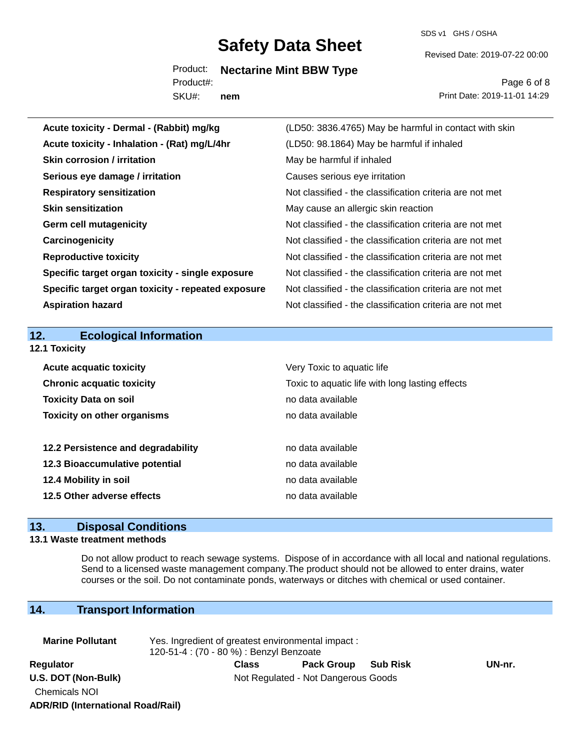SDS v1 GHS / OSHA

Revised Date: 2019-07-22 00:00

Product: **Nectarine Mint BBW Type** Product#:

SKU#: **nem**

Page 6 of 8 Print Date: 2019-11-01 14:29

| Acute toxicity - Dermal - (Rabbit) mg/kg           | (LD50: 3836.4765) May be harmful in contact with skin    |
|----------------------------------------------------|----------------------------------------------------------|
| Acute toxicity - Inhalation - (Rat) mg/L/4hr       | (LD50: 98.1864) May be harmful if inhaled                |
| <b>Skin corrosion / irritation</b>                 | May be harmful if inhaled                                |
| Serious eye damage / irritation                    | Causes serious eye irritation                            |
| <b>Respiratory sensitization</b>                   | Not classified - the classification criteria are not met |
| <b>Skin sensitization</b>                          | May cause an allergic skin reaction                      |
| <b>Germ cell mutagenicity</b>                      | Not classified - the classification criteria are not met |
| Carcinogenicity                                    | Not classified - the classification criteria are not met |
| <b>Reproductive toxicity</b>                       | Not classified - the classification criteria are not met |
| Specific target organ toxicity - single exposure   | Not classified - the classification criteria are not met |
| Specific target organ toxicity - repeated exposure | Not classified - the classification criteria are not met |
| <b>Aspiration hazard</b>                           | Not classified - the classification criteria are not met |
|                                                    |                                                          |
|                                                    |                                                          |
| 12.<br><b>Ecological Information</b>               |                                                          |
| 12.1 Toxicity                                      |                                                          |
| <b>Acute acquatic toxicity</b>                     | Very Toxic to aquatic life                               |
| <b>Chronic acquatic toxicity</b>                   | Toxic to aquatic life with long lasting effects          |
| <b>Toxicity Data on soil</b>                       | no data available                                        |
| <b>Toxicity on other organisms</b>                 | no data available                                        |
|                                                    |                                                          |
| 12.2 Persistence and degradability                 | no data available                                        |
| 12.3 Bioaccumulative potential                     | no data available                                        |
| 12.4 Mobility in soil                              | no data available                                        |
| 12.5 Other adverse effects                         | no data available                                        |

### **13. Disposal Conditions**

#### **13.1 Waste treatment methods**

Do not allow product to reach sewage systems. Dispose of in accordance with all local and national regulations. Send to a licensed waste management company.The product should not be allowed to enter drains, water courses or the soil. Do not contaminate ponds, waterways or ditches with chemical or used container.

## **14. Transport Information**

| <b>Marine Pollutant</b>                  | Yes. Ingredient of greatest environmental impact:<br>120-51-4 : (70 - 80 %) : Benzyl Benzoate |                                     |                 |        |
|------------------------------------------|-----------------------------------------------------------------------------------------------|-------------------------------------|-----------------|--------|
| Regulator                                | <b>Class</b>                                                                                  | <b>Pack Group</b>                   | <b>Sub Risk</b> | UN-nr. |
| U.S. DOT (Non-Bulk)                      |                                                                                               | Not Regulated - Not Dangerous Goods |                 |        |
| <b>Chemicals NOI</b>                     |                                                                                               |                                     |                 |        |
| <b>ADR/RID (International Road/Rail)</b> |                                                                                               |                                     |                 |        |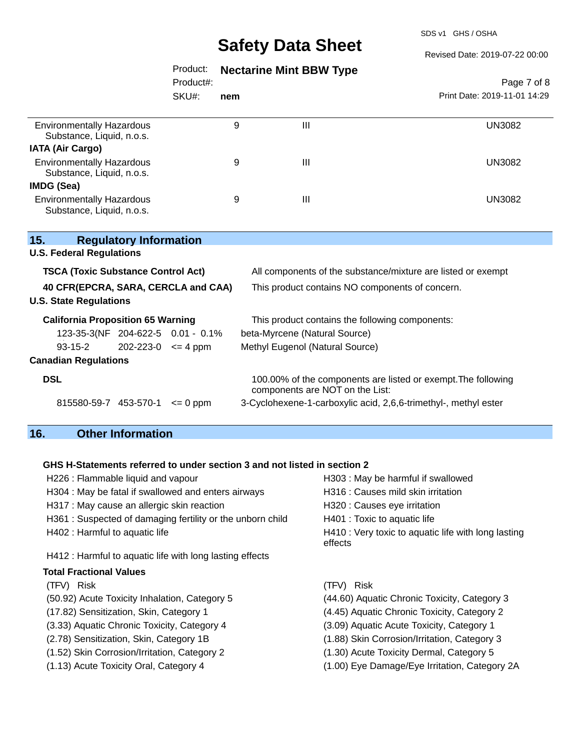SDS v1 GHS / OSHA

Revised Date: 2019-07-22 00:00

## Product: **Nectarine Mint BBW Type**

Product#:

SKU#: **nem**

### Page 7 of 8 Print Date: 2019-11-01 14:29

| <b>Environmentally Hazardous</b><br>Substance, Liquid, n.o.s. | 9 | Ш | UN3082        |
|---------------------------------------------------------------|---|---|---------------|
| <b>IATA (Air Cargo)</b>                                       |   |   |               |
| <b>Environmentally Hazardous</b><br>Substance, Liquid, n.o.s. | 9 | Ш | UN3082        |
| <b>IMDG (Sea)</b>                                             |   |   |               |
| <b>Environmentally Hazardous</b><br>Substance, Liquid, n.o.s. | 9 | Ш | <b>UN3082</b> |

| 15.                                       | <b>Regulatory Information</b>     |              |                                                                                                  |  |
|-------------------------------------------|-----------------------------------|--------------|--------------------------------------------------------------------------------------------------|--|
| <b>U.S. Federal Regulations</b>           |                                   |              |                                                                                                  |  |
| <b>TSCA (Toxic Substance Control Act)</b> |                                   |              | All components of the substance/mixture are listed or exempt                                     |  |
| 40 CFR(EPCRA, SARA, CERCLA and CAA)       |                                   |              | This product contains NO components of concern.                                                  |  |
| <b>U.S. State Regulations</b>             |                                   |              |                                                                                                  |  |
| <b>California Proposition 65 Warning</b>  |                                   |              | This product contains the following components:                                                  |  |
|                                           | 123-35-3(NF 204-622-5 0.01 - 0.1% |              | beta-Myrcene (Natural Source)                                                                    |  |
| 93-15-2                                   | $202 - 223 - 0 \leq 4$ ppm        |              | Methyl Eugenol (Natural Source)                                                                  |  |
| <b>Canadian Regulations</b>               |                                   |              |                                                                                                  |  |
| <b>DSL</b>                                |                                   |              | 100.00% of the components are listed or exempt. The following<br>components are NOT on the List: |  |
|                                           | 815580-59-7 453-570-1             | $\leq 0$ ppm | 3-Cyclohexene-1-carboxylic acid, 2,6,6-trimethyl-, methyl ester                                  |  |
|                                           |                                   |              |                                                                                                  |  |

## **16. Other Information**

## **GHS H-Statements referred to under section 3 and not listed in section 2**

| H226 : Flammable liquid and vapour                         | H303: May be harmful if swallowed                              |
|------------------------------------------------------------|----------------------------------------------------------------|
| H304 : May be fatal if swallowed and enters airways        | H316 : Causes mild skin irritation                             |
| H317 : May cause an allergic skin reaction                 | H320 : Causes eye irritation                                   |
| H361 : Suspected of damaging fertility or the unborn child | H401 : Toxic to aquatic life                                   |
| H402 : Harmful to aquatic life                             | H410 : Very toxic to aquatic life with long lasting<br>effects |
| H412 : Harmful to aquatic life with long lasting effects   |                                                                |
| <b>Total Fractional Values</b>                             |                                                                |
| (TFV) Risk                                                 | (TFV) Risk                                                     |
| (50.92) Acute Toxicity Inhalation, Category 5              | (44.60) Aquatic Chronic Toxicity, Category 3                   |
| (17.82) Sensitization, Skin, Category 1                    | (4.45) Aquatic Chronic Toxicity, Category 2                    |
| (3.33) Aquatic Chronic Toxicity, Category 4                | (3.09) Aquatic Acute Toxicity, Category 1                      |
| (2.78) Sensitization, Skin, Category 1B                    | (1.88) Skin Corrosion/Irritation, Category 3                   |
| (1.52) Skin Corrosion/Irritation, Category 2               | (1.30) Acute Toxicity Dermal, Category 5                       |
| (1.13) Acute Toxicity Oral, Category 4                     | (1.00) Eye Damage/Eye Irritation, Category 2A                  |